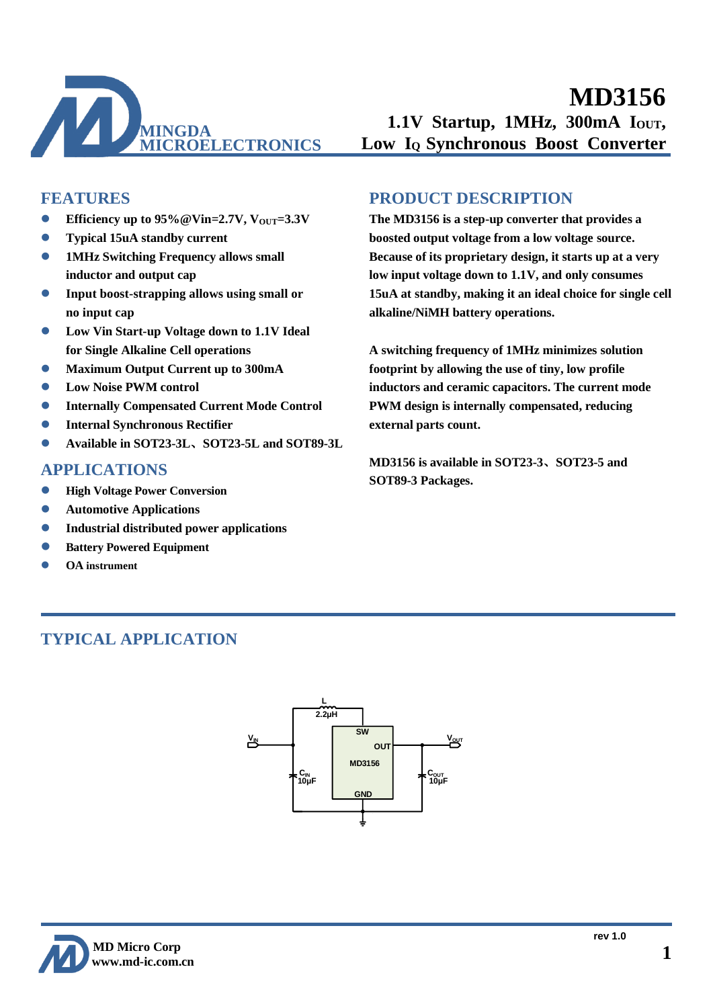

### **FEATURES**

- **Efficiency up to 95%@Vin=2.7V, V**<sub>OUT</sub>=3.3V
- ⚫ **Typical 15uA standby current**
- ⚫ **1MHz Switching Frequency allows small inductor and output cap**
- ⚫ **Input boost-strapping allows using small or no input cap**
- ⚫ **Low Vin Start-up Voltage down to 1.1V Ideal for Single Alkaline Cell operations**
- ⚫ **Maximum Output Current up to 300mA**
- ⚫ **Low Noise PWM control**
- ⚫ **Internally Compensated Current Mode Control**
- ⚫ **Internal Synchronous Rectifier**
- ⚫ **Available in SOT23-3L**、**SOT23-5L and SOT89-3L**

### **APPLICATIONS**

- ⚫ **High Voltage Power Conversion**
- ⚫ **Automotive Applications**
- ⚫ **Industrial distributed power applications**
- ⚫ **Battery Powered Equipment**
- ⚫ **OA instrument**

### **PRODUCT DESCRIPTION**

**The MD3156 is a step-up converter that provides a boosted output voltage from a low voltage source. Because of its proprietary design, it starts up at a very low input voltage down to 1.1V, and only consumes 15uA at standby, making it an ideal choice for single cell alkaline/NiMH battery operations.**

**A switching frequency of 1MHz minimizes solution footprint by allowing the use of tiny, low profile inductors and ceramic capacitors. The current mode PWM design is internally compensated, reducing external parts count.**

**MD3156 is available in SOT23-3**、**SOT23-5 and SOT89-3 Packages.**

## **TYPICAL APPLICATION**



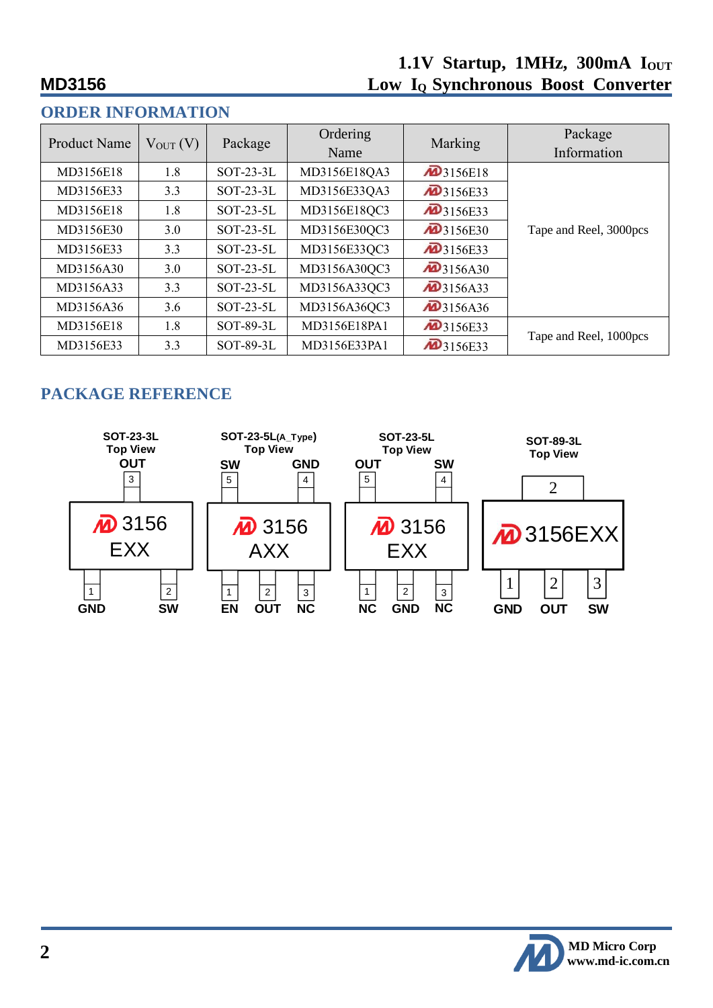| VINDEIN IINF VINDIA LIMIN |               |             |                  |                         |                        |  |
|---------------------------|---------------|-------------|------------------|-------------------------|------------------------|--|
| <b>Product Name</b>       | $V_{OUT} (V)$ | Package     | Ordering<br>Name | Marking                 | Package<br>Information |  |
| MD3156E18                 | 1.8           | $SOT-23-3L$ | MD3156E18QA3     | $\mathbf{4}$ 3156E18    |                        |  |
| MD3156E33                 | 3.3           | $SOT-23-3L$ | MD3156E33QA3     | $\mathbf{4}$ 3156E33    |                        |  |
| MD3156E18                 | 1.8           | $SOT-23-5L$ | MD3156E18QC3     | $\mathbf{4}$ 3156E33    |                        |  |
| MD3156E30                 | 3.0           | $SOT-23-5L$ | MD3156E30QC3     | $\mathbf{4}$ 3156E30    | Tape and Reel, 3000pcs |  |
| MD3156E33                 | 3.3           | $SOT-23-5L$ | MD3156E33QC3     | <b>M</b> 3156E33        |                        |  |
| MD3156A30                 | 3.0           | $SOT-23-5L$ | MD3156A30QC3     | $\overline{AD}$ 3156A30 |                        |  |
| MD3156A33                 | 3.3           | $SOT-23-5L$ | MD3156A33QC3     | <b>M</b> 3156A33        |                        |  |
| MD3156A36                 | 3.6           | $SOT-23-5L$ | MD3156A36QC3     | $\overline{42}$ 3156A36 |                        |  |
| MD3156E18                 | 1.8           | SOT-89-3L   | MD3156E18PA1     | <b>2</b> 3156E33        |                        |  |
| MD3156E33                 | 3.3           | SOT-89-3L   | MD3156E33PA1     | $\overline{42}$ 3156E33 | Tape and Reel, 1000pcs |  |

## **ORDER INFORMATION**

# **PACKAGE REFERENCE**



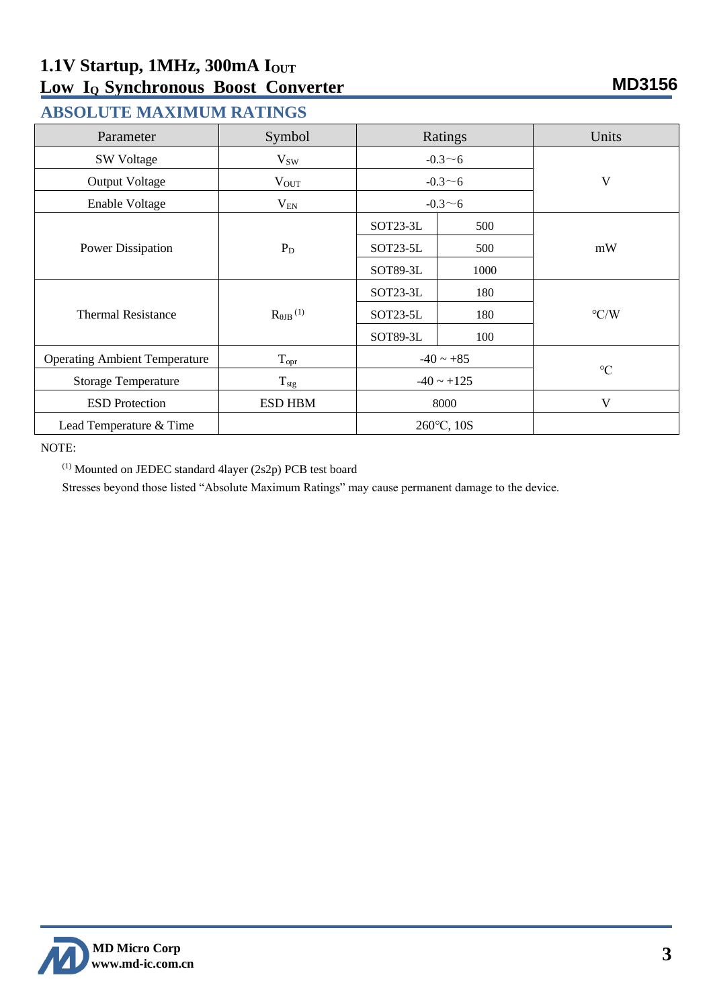## **ABSOLUTE MAXIMUM RATINGS**

| Parameter                            | Symbol                        | Ratings         |      | Units              |  |
|--------------------------------------|-------------------------------|-----------------|------|--------------------|--|
| <b>SW Voltage</b>                    | $V_{SW}$                      | $-0.3 \sim 6$   |      |                    |  |
| <b>Output Voltage</b>                | $V_{OUT}$                     | $-0.3 - 6$      |      | V                  |  |
| Enable Voltage                       | $V_{\rm EN}$                  | $-0.3 - 6$      |      |                    |  |
|                                      |                               | SOT23-3L        | 500  |                    |  |
| Power Dissipation                    | $P_D$                         | SOT23-5L        | 500  | mW                 |  |
|                                      |                               | SOT89-3L        | 1000 |                    |  |
|                                      | $R_{\theta$ JB <sup>(1)</sup> | SOT23-3L        | 180  |                    |  |
| <b>Thermal Resistance</b>            |                               | SOT23-5L        | 180  | $\rm ^{\circ} C/W$ |  |
|                                      |                               | SOT89-3L        | 100  |                    |  |
| <b>Operating Ambient Temperature</b> | $T_{\rm opr}$                 | $-40 \sim +85$  |      | $\rm ^{\circ}C$    |  |
| <b>Storage Temperature</b>           | $T_{\text{stg}}$              | $-40 \sim +125$ |      |                    |  |
| <b>ESD</b> Protection                | <b>ESD HBM</b>                | 8000            |      | V                  |  |
| Lead Temperature & Time              |                               | 260°C, 10S      |      |                    |  |

NOTE:

(1) Mounted on JEDEC standard 4layer (2s2p) PCB test board

Stresses beyond those listed "Absolute Maximum Ratings" may cause permanent damage to the device.

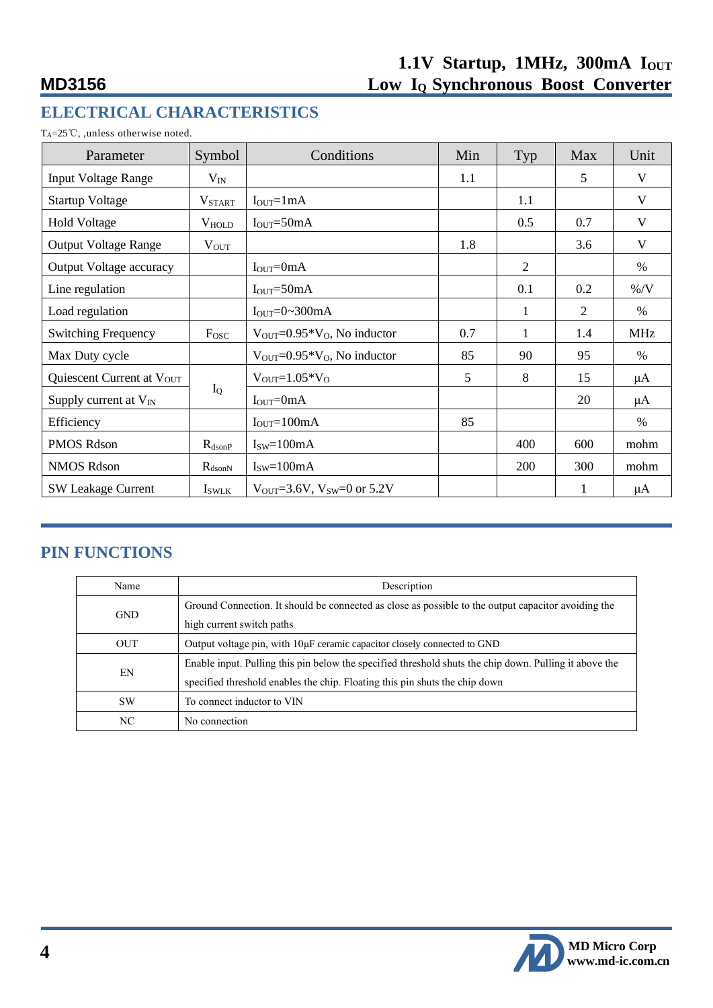# **ELECTRICAL CHARACTERISTICS**

T<sub>A</sub>=25℃, ,unless otherwise noted.

| Parameter                             | Symbol             | Conditions                                              | Min | Typ | Max | Unit       |
|---------------------------------------|--------------------|---------------------------------------------------------|-----|-----|-----|------------|
| <b>Input Voltage Range</b>            | $V_{IN}$           |                                                         | 1.1 |     | 5   | V          |
| <b>Startup Voltage</b>                | <b>V</b> START     | $IOUT=1mA$                                              |     | 1.1 |     | V          |
| Hold Voltage                          | $V_{HOLD}$         | $IOUT=50mA$                                             |     | 0.5 | 0.7 | V          |
| <b>Output Voltage Range</b>           | $V_{OUT}$          |                                                         | 1.8 |     | 3.6 | V          |
| <b>Output Voltage accuracy</b>        |                    | $IOUT=0mA$                                              |     | 2   |     | $\%$       |
| Line regulation                       |                    | $IOUT=50mA$                                             |     | 0.1 | 0.2 | $\%$ /V    |
| Load regulation                       |                    | $IOUT=0~300mA$                                          |     | 1   | 2   | $\%$       |
| <b>Switching Frequency</b>            | Fosc               | $V_{\text{OUT}}=0.95*V_0$ , No inductor                 | 0.7 | 1   | 1.4 | <b>MHz</b> |
| Max Duty cycle                        |                    | $V_{\text{OUT}}=0.95*V_{\text{O}}$ , No inductor        | 85  | 90  | 95  | $\%$       |
| Quiescent Current at V <sub>OUT</sub> |                    | $V_{\text{OUT}}=1.05*V_{\text{O}}$                      | 5   | 8   | 15  | μA         |
| Supply current at $V_{IN}$            | $I_{Q}$            | $IOUT=0mA$                                              |     |     | 20  | $\mu$ A    |
| Efficiency                            |                    | $IOUT=100mA$                                            | 85  |     |     | $\%$       |
| PMOS Rdson                            | $R_{dsonP}$        | $Isw=100mA$                                             |     | 400 | 600 | mohm       |
| <b>NMOS Rdson</b>                     | $R_{\text{dsonN}}$ | $Isw=100mA$                                             |     | 200 | 300 | mohm       |
| <b>SW Leakage Current</b>             | <b>I</b> swlk      | $V_{\text{OUT}}=3.6V, V_{\text{SW}}=0 \text{ or } 5.2V$ |     |     |     | $\mu A$    |

## **PIN FUNCTIONS**

| Name       | Description                                                                                            |  |  |
|------------|--------------------------------------------------------------------------------------------------------|--|--|
| <b>GND</b> | Ground Connection. It should be connected as close as possible to the output capacitor avoiding the    |  |  |
|            | high current switch paths                                                                              |  |  |
| <b>OUT</b> | Output voltage pin, with $10\mu$ F ceramic capacitor closely connected to GND                          |  |  |
| ΕN         | Enable input. Pulling this pin below the specified threshold shuts the chip down. Pulling it above the |  |  |
|            | specified threshold enables the chip. Floating this pin shuts the chip down                            |  |  |
| <b>SW</b>  | To connect inductor to VIN                                                                             |  |  |
| NC         | No connection                                                                                          |  |  |

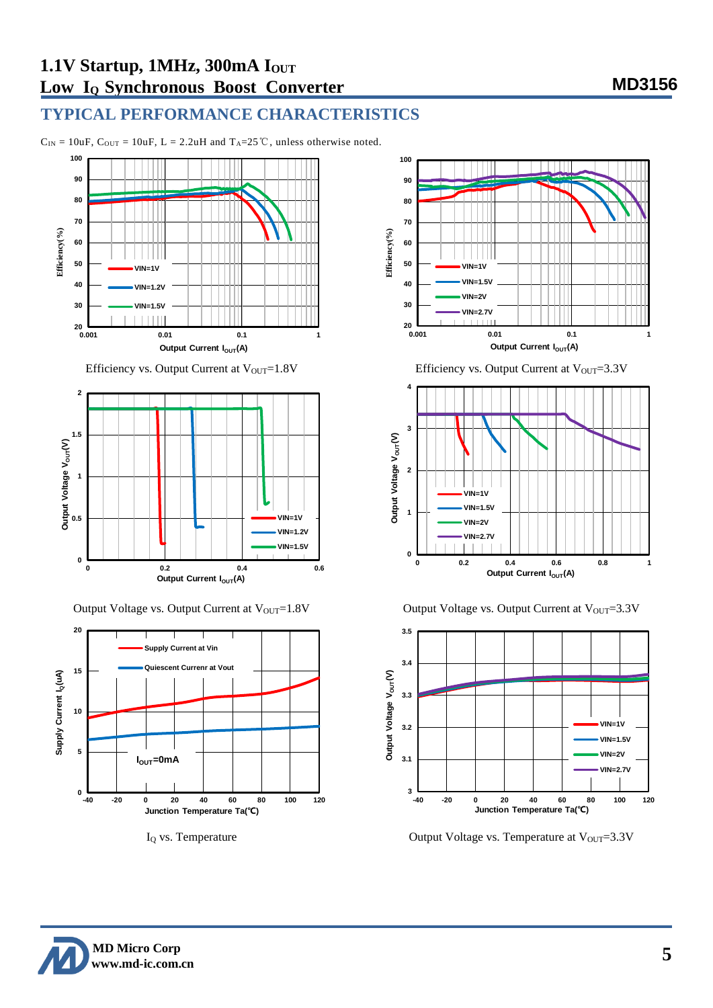## **TYPICAL PERFORMANCE CHARACTERISTICS**

 $C_{IN} = 10uF$ ,  $C_{OUT} = 10uF$ ,  $L = 2.2uH$  and  $T_A = 25^\circC$ , unless otherwise noted.







Output Voltage vs. Output Current at V<sub>OUT</sub>=1.8V Output Voltage vs. Output Current at V<sub>OUT</sub>=3.3V



 $I_Q$  vs. Temperature  $O$  Output Voltage vs. Temperature at  $V_{OUT}=3.3V$ 

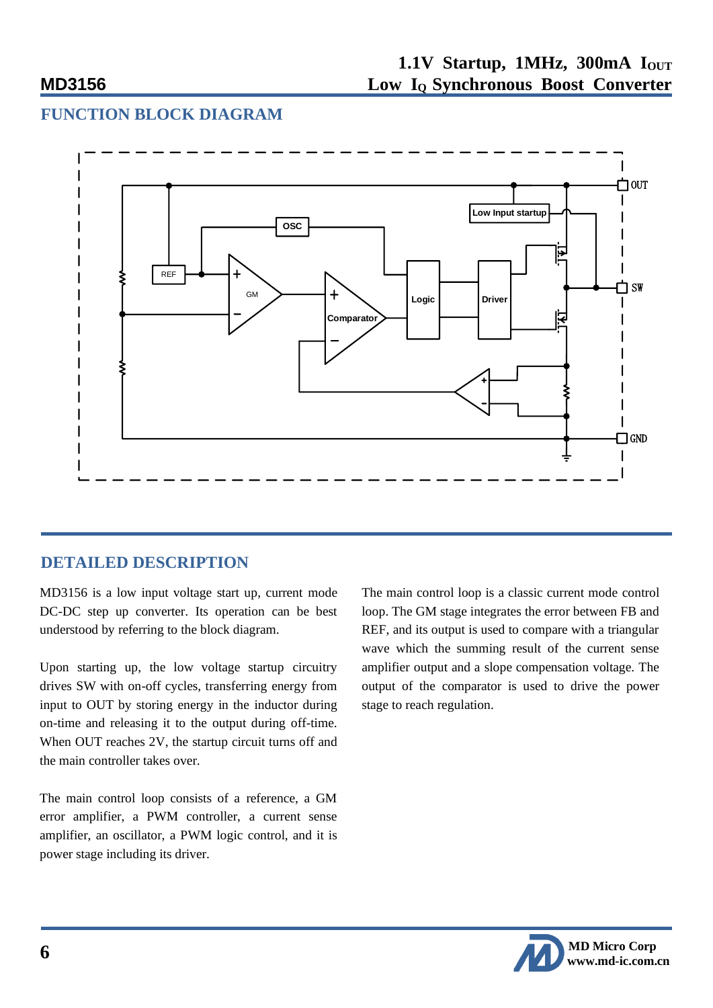## **FUNCTION BLOCK DIAGRAM**



## **DETAILED DESCRIPTION**

MD3156 is a low input voltage start up, current mode DC-DC step up converter. Its operation can be best understood by referring to the block diagram.

Upon starting up, the low voltage startup circuitry drives SW with on-off cycles, transferring energy from input to OUT by storing energy in the inductor during on-time and releasing it to the output during off-time. When OUT reaches 2V, the startup circuit turns off and the main controller takes over.

The main control loop consists of a reference, a GM error amplifier, a PWM controller, a current sense amplifier, an oscillator, a PWM logic control, and it is power stage including its driver.

The main control loop is a classic current mode control loop. The GM stage integrates the error between FB and REF, and its output is used to compare with a triangular wave which the summing result of the current sense amplifier output and a slope compensation voltage. The output of the comparator is used to drive the power stage to reach regulation.

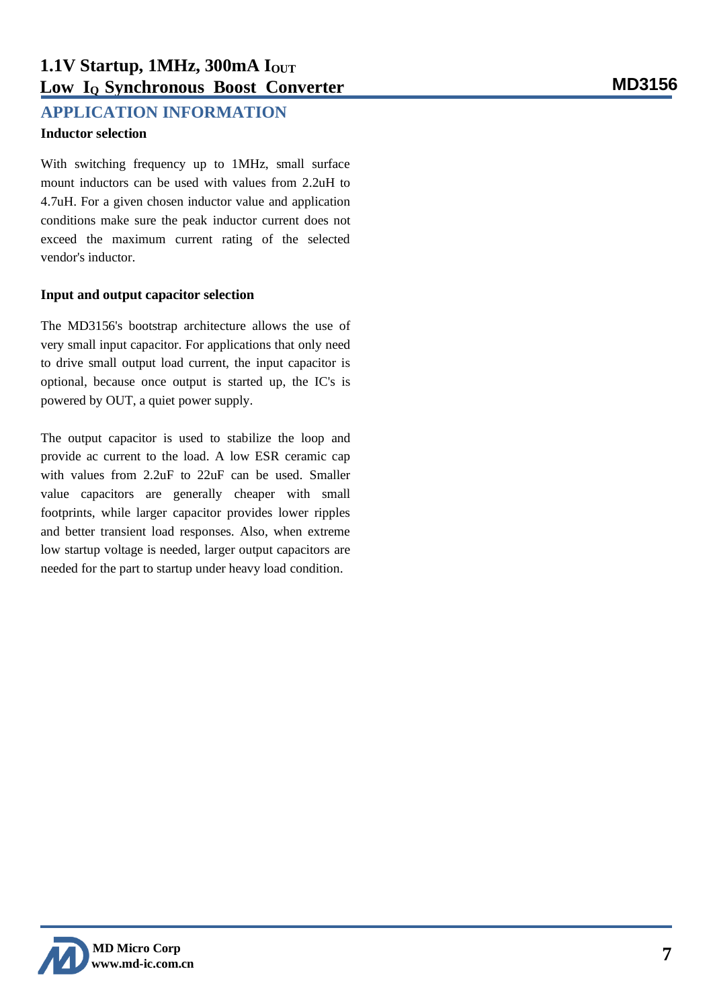# **1.1V Startup, 1MHz, 300mA I**<sub>OUT</sub> **Low IQ Synchronous Boost Converter MD3156**

### **APPLICATION INFORMATION**

### **Inductor selection**

With switching frequency up to 1MHz, small surface mount inductors can be used with values from 2.2uH to 4.7uH. For a given chosen inductor value and application conditions make sure the peak inductor current does not exceed the maximum current rating of the selected vendor's inductor.

### **Input and output capacitor selection**

The MD3156's bootstrap architecture allows the use of very small input capacitor. For applications that only need to drive small output load current, the input capacitor is optional, because once output is started up, the IC's is powered by OUT, a quiet power supply.

The output capacitor is used to stabilize the loop and provide ac current to the load. A low ESR ceramic cap with values from 2.2uF to 22uF can be used. Smaller value capacitors are generally cheaper with small footprints, while larger capacitor provides lower ripples and better transient load responses. Also, when extreme low startup voltage is needed, larger output capacitors are needed for the part to startup under heavy load condition.

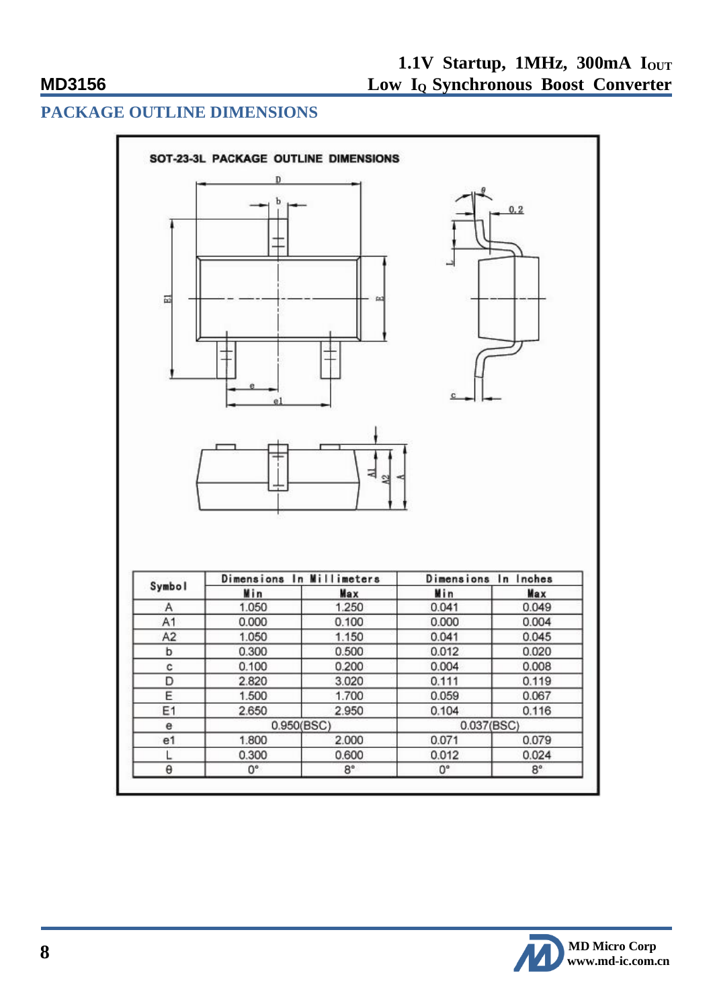### **PACKAGE OUTLINE DIMENSIONS**



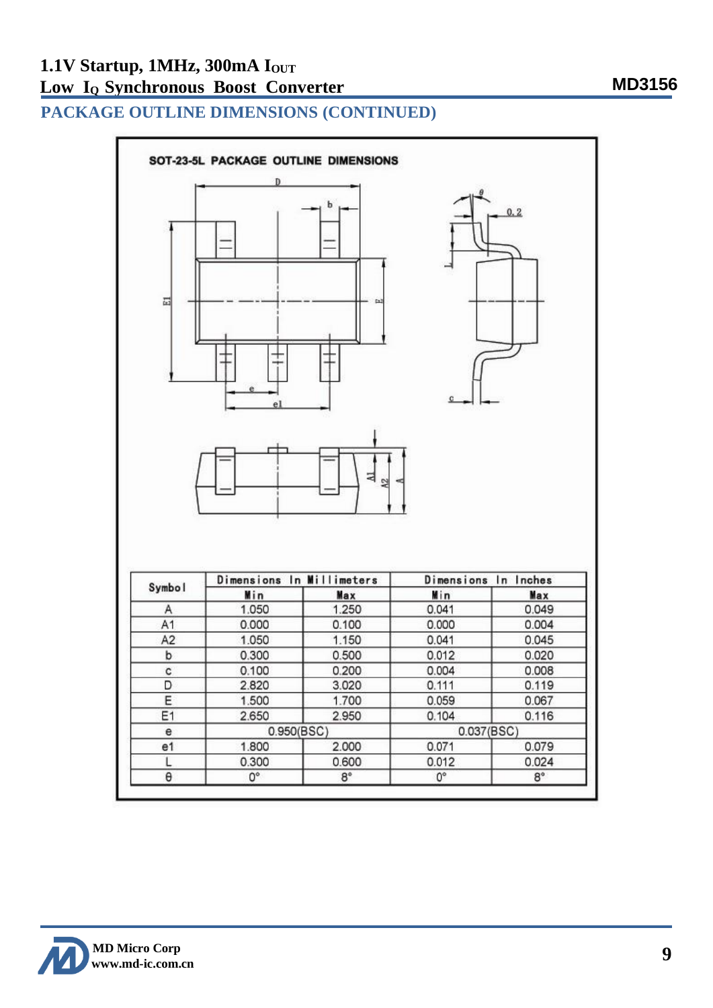**PACKAGE OUTLINE DIMENSIONS (CONTINUED)**